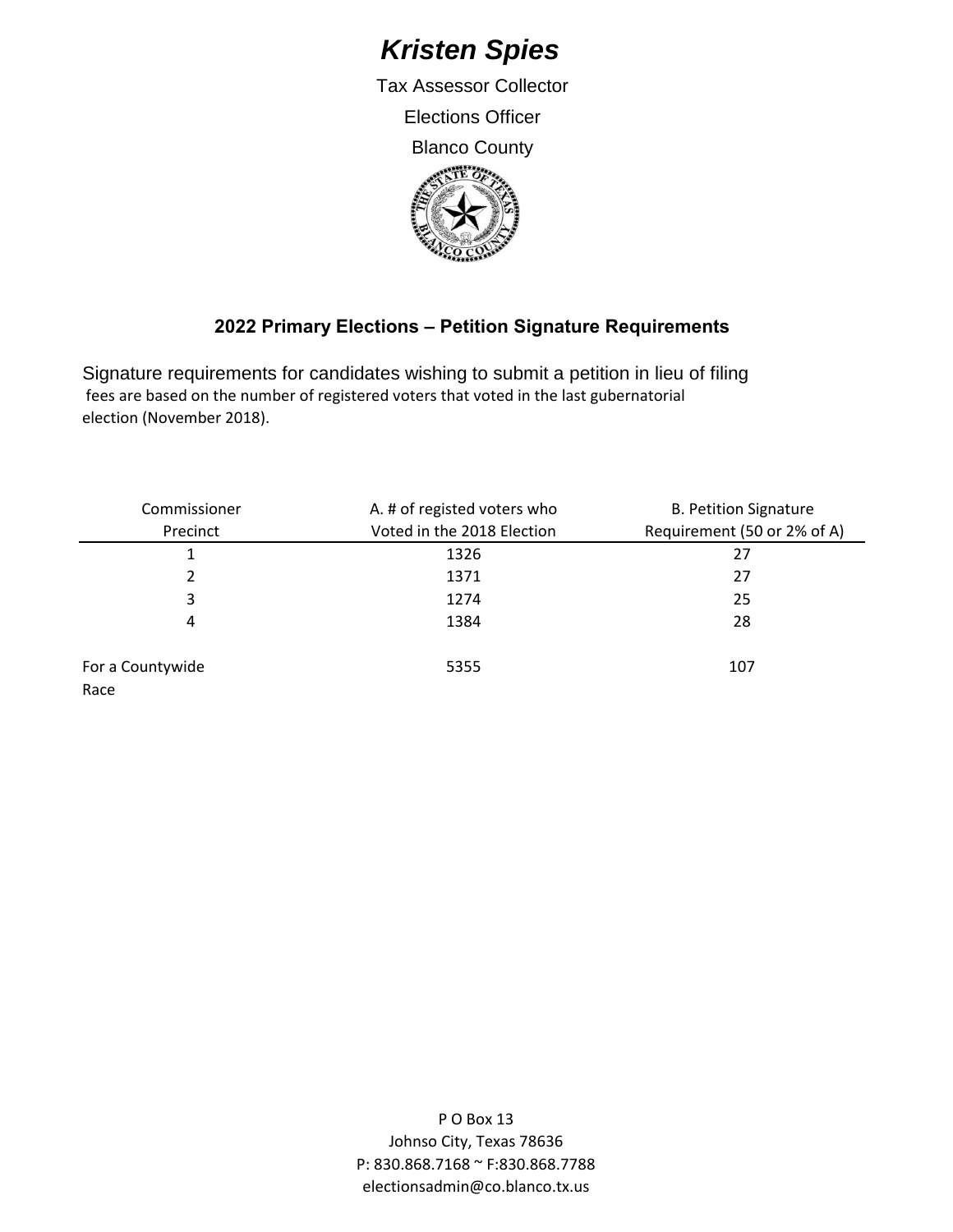## *Kristen Spies*

Tax Assessor Collector Elections Officer Blanco County



## **2022 Primary Elections – Petition Signature Requirements**

Signature requirements for candidates wishing to submit a petition in lieu of filing fees are based on the number of registered voters that voted in the last gubernatorial election (November 2018).

| Commissioner             | A. # of registed voters who | <b>B. Petition Signature</b> |
|--------------------------|-----------------------------|------------------------------|
| Precinct                 | Voted in the 2018 Election  | Requirement (50 or 2% of A)  |
|                          | 1326                        | 27                           |
| 2                        | 1371                        | 27                           |
| 3                        | 1274                        | 25                           |
| 4                        | 1384                        | 28                           |
| For a Countywide<br>Race | 5355                        | 107                          |